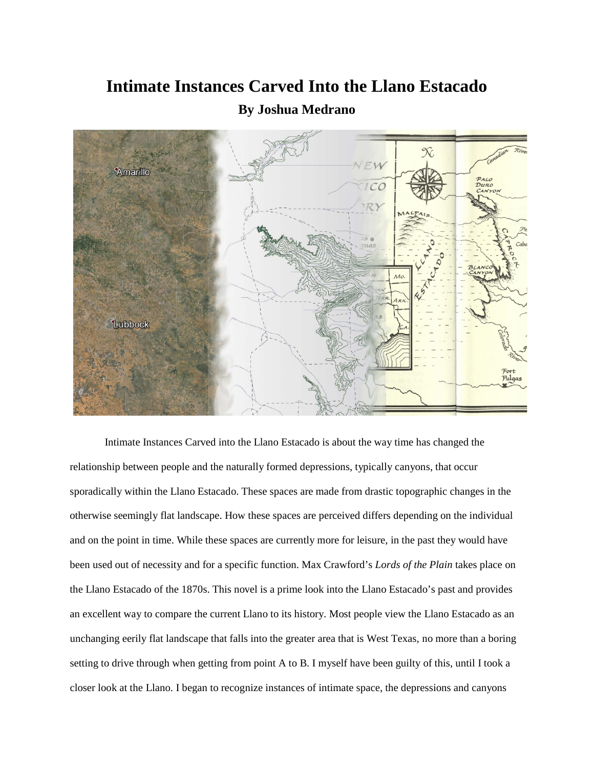## **Intimate Instances Carved Into the Llano Estacado**



## **By Joshua Medrano**

Intimate Instances Carved into the Llano Estacado is about the way time has changed the relationship between people and the naturally formed depressions, typically canyons, that occur sporadically within the Llano Estacado. These spaces are made from drastic topographic changes in the otherwise seemingly flat landscape. How these spaces are perceived differs depending on the individual and on the point in time. While these spaces are currently more for leisure, in the past they would have been used out of necessity and for a specific function. Max Crawford's *Lords of the Plain* takes place on the Llano Estacado of the 1870s. This novel is a prime look into the Llano Estacado's past and provides an excellent way to compare the current Llano to its history. Most people view the Llano Estacado as an unchanging eerily flat landscape that falls into the greater area that is West Texas, no more than a boring setting to drive through when getting from point A to B. I myself have been guilty of this, until I took a closer look at the Llano. I began to recognize instances of intimate space, the depressions and canyons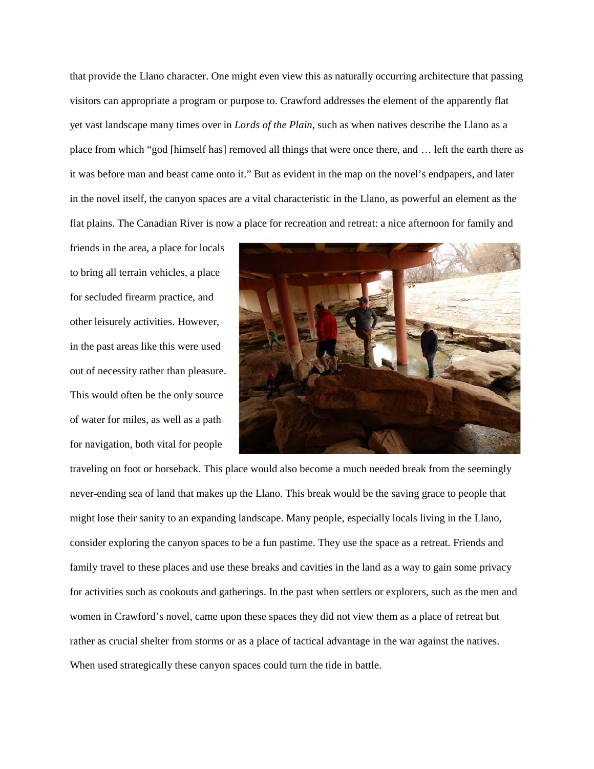that provide the Llano character. One might even view this as naturally occurring architecture that passing visitors can appropriate a program or purpose to. Crawford addresses the element of the apparently flat yet vast landscape many times over in *Lords of the Plain*, such as when natives describe the Llano as a place from which "god [himself has] removed all things that were once there, and … left the earth there as it was before man and beast came onto it." But as evident in the map on the novel's endpapers, and later in the novel itself, the canyon spaces are a vital characteristic in the Llano, as powerful an element as the flat plains. The Canadian River is now a place for recreation and retreat: a nice afternoon for family and

friends in the area, a place for locals to bring all terrain vehicles, a place for secluded firearm practice, and other leisurely activities. However, in the past areas like this were used out of necessity rather than pleasure. This would often be the only source of water for miles, as well as a path for navigation, both vital for people



traveling on foot or horseback. This place would also become a much needed break from the seemingly never-ending sea of land that makes up the Llano. This break would be the saving grace to people that might lose their sanity to an expanding landscape. Many people, especially locals living in the Llano, consider exploring the canyon spaces to be a fun pastime. They use the space as a retreat. Friends and family travel to these places and use these breaks and cavities in the land as a way to gain some privacy for activities such as cookouts and gatherings. In the past when settlers or explorers, such as the men and women in Crawford's novel, came upon these spaces they did not view them as a place of retreat but rather as crucial shelter from storms or as a place of tactical advantage in the war against the natives. When used strategically these canyon spaces could turn the tide in battle.